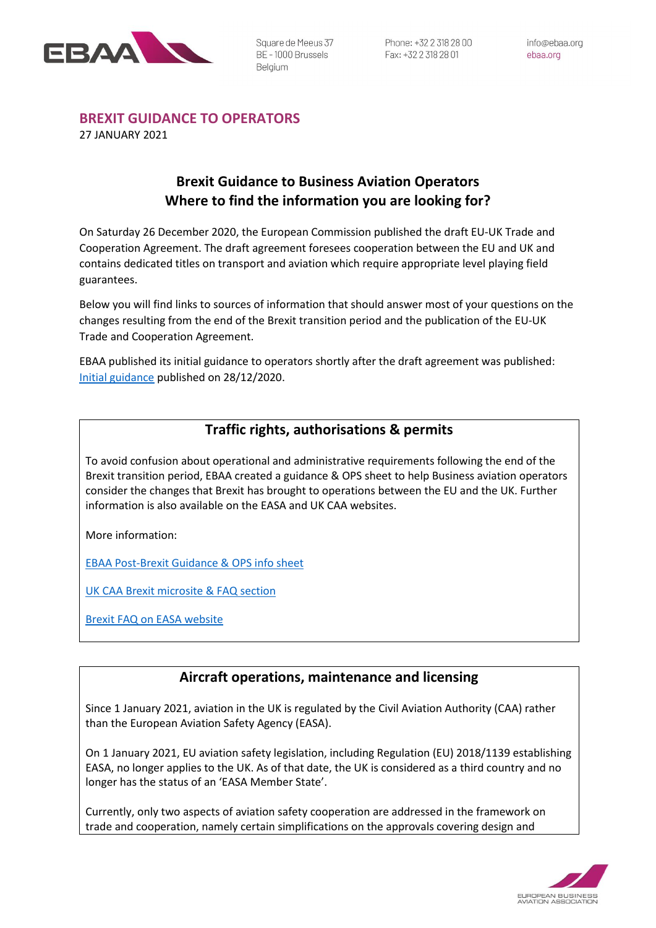

# **BREXIT GUIDANCE TO OPERATORS**

27 JANUARY 2021

# **Brexit Guidance to Business Aviation Operators Where to find the information you are looking for?**

On Saturday 26 December 2020, the European Commission published the draft EU-UK Trade and Cooperation Agreement. The draft agreement foresees cooperation between the EU and UK and contains dedicated titles on transport and aviation which require appropriate level playing field guarantees.

Below you will find links to sources of information that should answer most of your questions on the changes resulting from the end of the Brexit transition period and the publication of the EU-UK Trade and Cooperation Agreement.

EBAA published its initial guidance to operators shortly after the draft agreement was published: [Initial guidance](https://www.ebaa.org/industry-updates/initial-guidance-on-the-draft-eu-uk-trade-and-cooperation-agreement/) published on 28/12/2020.

# **Traffic rights, authorisations & permits**

To avoid confusion about operational and administrative requirements following the end of the Brexit transition period, EBAA created a guidance & OPS sheet to help Business aviation operators consider the changes that Brexit has brought to operations between the EU and the UK. Further information is also available on the EASA and UK CAA websites.

More information:

[EBAA Post-Brexit Guidance & OPS info sheet](https://www.ebaa.org/resources/ebaa-post-brexit-guidance-ops-info-sheet/)

[UK CAA Brexit microsite & FAQ section](https://info.caa.co.uk/uk-eu-transition/)

[Brexit FAQ on EASA website](https://www.easa.europa.eu/the-agency/faqs/brexit)

### **Aircraft operations, maintenance and licensing**

Since 1 January 2021, aviation in the UK is regulated by the Civil Aviation Authority (CAA) rather than the European Aviation Safety Agency (EASA).

On 1 January 2021, EU aviation safety legislation, including Regulation (EU) 2018/1139 establishing EASA, no longer applies to the UK. As of that date, the UK is considered as a third country and no longer has the status of an 'EASA Member State'.

Currently, only two aspects of aviation safety cooperation are addressed in the framework on trade and cooperation, namely certain simplifications on the approvals covering design and

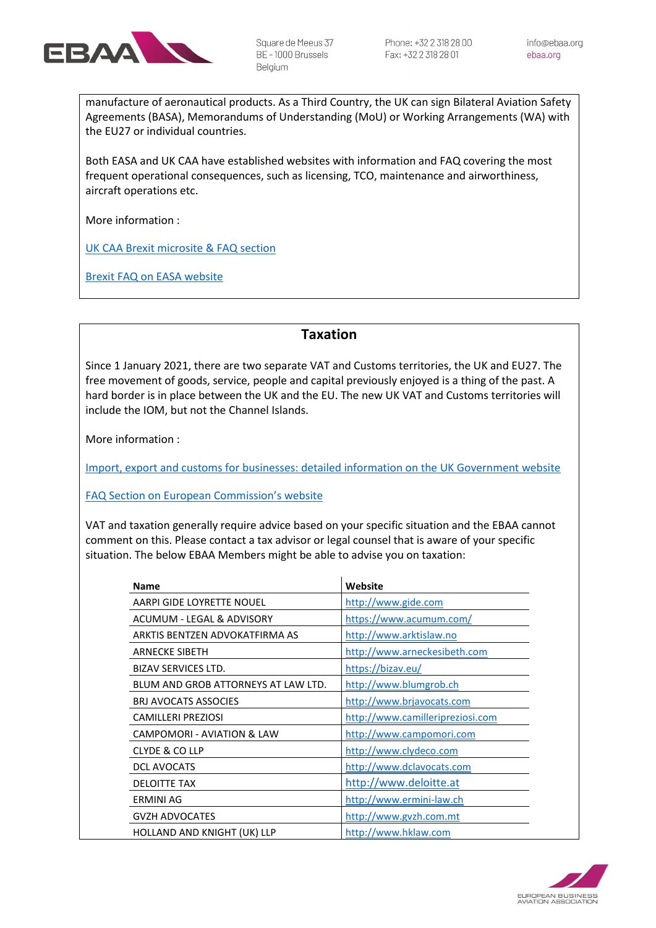

manufacture of aeronautical products. As a Third Country, the UK can sign Bilateral Aviation Safety Agreements (BASA), Memorandums of Understanding (MoU) or Working Arrangements (WA) with the EU27 or individual countries.

Both EASA and UK CAA have established websites with information and FAQ covering the most frequent operational consequences, such as licensing, TCO, maintenance and airworthiness, aircraft operations etc.

More information :

[UK CAA Brexit microsite & FAQ section](https://info.caa.co.uk/uk-eu-transition/)

[Brexit FAQ on EASA website](https://www.easa.europa.eu/the-agency/faqs/brexit)

#### **Taxation**

Since 1 January 2021, there are two separate VAT and Customs territories, the UK and EU27. The free movement of goods, service, people and capital previously enjoyed is a thing of the past. A hard border is in place between the UK and the EU. The new UK VAT and Customs territories will include the IOM, but not the Channel Islands.

More information :

[Import, export and customs for businesses: detailed information on the UK Government website](https://www.gov.uk/topic/business-tax/import-export)

[FAQ Section on European Commission's website](https://ec.europa.eu/taxation_customs/uk_withdrawal_en)

VAT and taxation generally require advice based on your specific situation and the EBAA cannot comment on this. Please contact a tax advisor or legal counsel that is aware of your specific situation. The below EBAA Members might be able to advise you on taxation:

| <b>Name</b>                         | Website                          |
|-------------------------------------|----------------------------------|
| AARPI GIDE LOYRETTE NOUEL           | http://www.gide.com              |
| ACUMUM - LEGAL & ADVISORY           | https://www.acumum.com/          |
| ARKTIS BENTZEN ADVOKATFIRMA AS      | http://www.arktislaw.no          |
| <b>ARNECKE SIBETH</b>               | http://www.arneckesibeth.com     |
| <b>BIZAV SERVICES LTD.</b>          | https://bizav.eu/                |
| BLUM AND GROB ATTORNEYS AT LAW LTD. | http://www.blumgrob.ch           |
| <b>BRJ AVOCATS ASSOCIES</b>         | http://www.brjavocats.com        |
| <b>CAMILLERI PREZIOSI</b>           | http://www.camilleripreziosi.com |
| CAMPOMORI - AVIATION & LAW          | http://www.campomori.com         |
| <b>CLYDE &amp; COLLP</b>            | http://www.clydeco.com           |
| <b>DCL AVOCATS</b>                  | http://www.dclavocats.com        |
| <b>DELOITTE TAX</b>                 | http://www.deloitte.at           |
| ERMINI AG                           | http://www.ermini-law.ch         |
| <b>GVZH ADVOCATES</b>               | http://www.gvzh.com.mt           |
| HOLLAND AND KNIGHT (UK) LLP         | http://www.hklaw.com             |

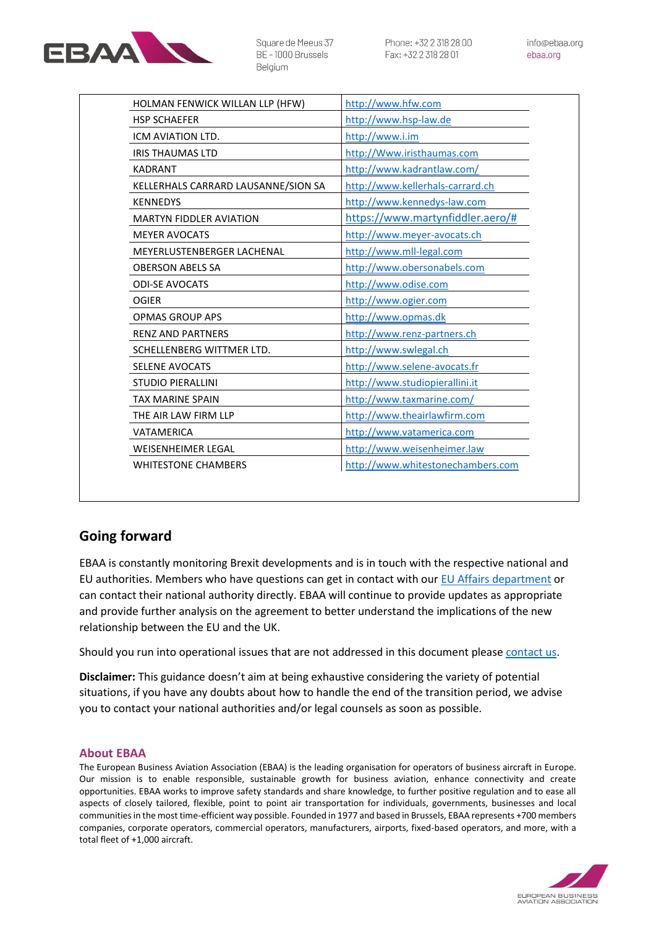

info@ebaa.org ebaa.org

| HOLMAN FENWICK WILLAN LLP (HFW)     | http://www.hfw.com                |
|-------------------------------------|-----------------------------------|
| <b>HSP SCHAEFER</b>                 | http://www.hsp-law.de             |
| ICM AVIATION LTD.                   | http://www.i.im                   |
| <b>IRIS THAUMAS LTD</b>             | http://Www.iristhaumas.com        |
| <b>KADRANT</b>                      | http://www.kadrantlaw.com/        |
| KELLERHALS CARRARD LAUSANNE/SION SA | http://www.kellerhals-carrard.ch  |
| <b>KENNEDYS</b>                     | http://www.kennedys-law.com       |
| <b>MARTYN FIDDLER AVIATION</b>      | https://www.martynfiddler.aero/#  |
| <b>MEYER AVOCATS</b>                | http://www.meyer-avocats.ch       |
| MEYERLUSTENBERGER LACHENAL          | http://www.mll-legal.com          |
| <b>OBERSON ABELS SA</b>             | http://www.obersonabels.com       |
| <b>ODI-SE AVOCATS</b>               | http://www.odise.com              |
| <b>OGIER</b>                        | http://www.ogier.com              |
| <b>OPMAS GROUP APS</b>              | http://www.opmas.dk               |
| <b>RENZ AND PARTNERS</b>            | http://www.renz-partners.ch       |
| SCHELLENBERG WITTMER LTD.           | http://www.swlegal.ch             |
| <b>SELENE AVOCATS</b>               | http://www.selene-avocats.fr      |
| <b>STUDIO PIERALLINI</b>            | http://www.studiopierallini.it    |
| <b>TAX MARINE SPAIN</b>             | http://www.taxmarine.com/         |
| THE AIR LAW FIRM LLP                | http://www.theairlawfirm.com      |
| <b>VATAMERICA</b>                   | http://www.vatamerica.com         |
| <b>WEISENHEIMER LEGAL</b>           | http://www.weisenheimer.law       |
| <b>WHITESTONE CHAMBERS</b>          | http://www.whitestonechambers.com |

#### **Going forward**

EBAA is constantly monitoring Brexit developments and is in touch with the respective national and EU authorities. Members who have questions can get in contact with our [EU Affairs department](mailto:dgrivet@ebaa.org) or can contact their national authority directly. EBAA will continue to provide updates as appropriate and provide further analysis on the agreement to better understand the implications of the new relationship between the EU and the UK.

Should you run into operational issues that are not addressed in this document please [contact us.](mailto:membership@ebaa.org)

**Disclaimer:** This guidance doesn't aim at being exhaustive considering the variety of potential situations, if you have any doubts about how to handle the end of the transition period, we advise you to contact your national authorities and/or legal counsels as soon as possible.

#### **About EBAA**

The European Business Aviation Association (EBAA) is the leading organisation for operators of business aircraft in Europe. Our mission is to enable responsible, sustainable growth for business aviation, enhance connectivity and create opportunities. EBAA works to improve safety standards and share knowledge, to further positive regulation and to ease all aspects of closely tailored, flexible, point to point air transportation for individuals, governments, businesses and local communities in the most time-efficient way possible. Founded in 1977 and based in Brussels, EBAA represents +700 members companies, corporate operators, commercial operators, manufacturers, airports, fixed-based operators, and more, with a total fleet of +1,000 aircraft.